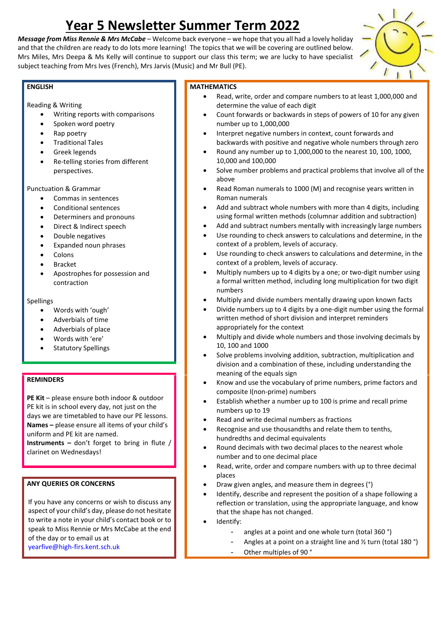# **Year 5 Newsletter Summer Term 2022**

*Message from Miss Rennie & Mrs McCabe –* Welcome back everyone – we hope that you all had a lovely holiday and that the children are ready to do lots more learning! The topics that we will be covering are outlined below. Mrs Miles, Mrs Deepa & Ms Kelly will continue to support our class this term; we are lucky to have specialist subject teaching from Mrs Ives (French), Mrs Jarvis (Music) and Mr Bull (PE).



### **ENGLISH**

Reading & Writing

- Writing reports with comparisons
- Spoken word poetry
- Rap poetry
- Traditional Tales
- Greek legends
- Re-telling stories from different perspectives.

Punctuation & Grammar

- Commas in sentences
- Conditional sentences
- Determiners and pronouns
- Direct & Indirect speech
- Double negatives
- Expanded noun phrases
- **Colons**
- **Bracket**
- Apostrophes for possession and contraction

### Spellings

- Words with 'ough'
- Adverbials of time
- Adverbials of place
- Words with 'ere'
- **Statutory Spellings**

## **REMINDERS**

**PE Kit** – please ensure both indoor & outdoor PE kit is in school every day, not just on the days we are timetabled to have our PE lessons. **Names –** please ensure all items of your child's uniform and PE kit are named.

**Instruments –** don't forget to bring in flute / clarinet on Wednesdays!

## **ANY QUERIES OR CONCERNS**

If you have any concerns or wish to discuss any aspect of your child's day, please do not hesitate to write a note in your child's contact book or to speak to Miss Rennie or Mrs McCabe at the end of the day or to email us at [yearfive@high-firs.kent.sch.uk](mailto:yearfive@high-firs.kent.sch.uk)

## **MATHEMATICS**

- Read, write, order and compare numbers to at least 1,000,000 and determine the value of each digit
- Count forwards or backwards in steps of powers of 10 for any given number up to 1,000,000
- Interpret negative numbers in context, count forwards and backwards with positive and negative whole numbers through zero
- Round any number up to 1,000,000 to the nearest 10, 100, 1000, 10,000 and 100,000
- Solve number problems and practical problems that involve all of the above
- Read Roman numerals to 1000 (M) and recognise years written in Roman numerals
- Add and subtract whole numbers with more than 4 digits, including using formal written methods (columnar addition and subtraction)
- Add and subtract numbers mentally with increasingly large numbers
- Use rounding to check answers to calculations and determine, in the context of a problem, levels of accuracy.
- Use rounding to check answers to calculations and determine, in the context of a problem, levels of accuracy.
- Multiply numbers up to 4 digits by a one; or two-digit number using a formal written method, including long multiplication for two digit numbers
- Multiply and divide numbers mentally drawing upon known facts
- Divide numbers up to 4 digits by a one-digit number using the formal written method of short division and interpret reminders appropriately for the context
- Multiply and divide whole numbers and those involving decimals by 10, 100 and 1000
- Solve problems involving addition, subtraction, multiplication and division and a combination of these, including understanding the meaning of the equals sign
- Know and use the vocabulary of prime numbers, prime factors and composite I(non-prime) numbers
- Establish whether a number up to 100 is prime and recall prime numbers up to 19
- Read and write decimal numbers as fractions
- Recognise and use thousandths and relate them to tenths, hundredths and decimal equivalents
- Round decimals with two decimal places to the nearest whole number and to one decimal place
- Read, write, order and compare numbers with up to three decimal places
- Draw given angles, and measure them in degrees (°)
- Identify, describe and represent the position of a shape following a reflection or translation, using the appropriate language, and know that the shape has not changed.
- Identify:
	- angles at a point and one whole turn (total 360 °)
	- Angles at a point on a straight line and ½ turn (total 180 °)
	- Other multiples of 90 °